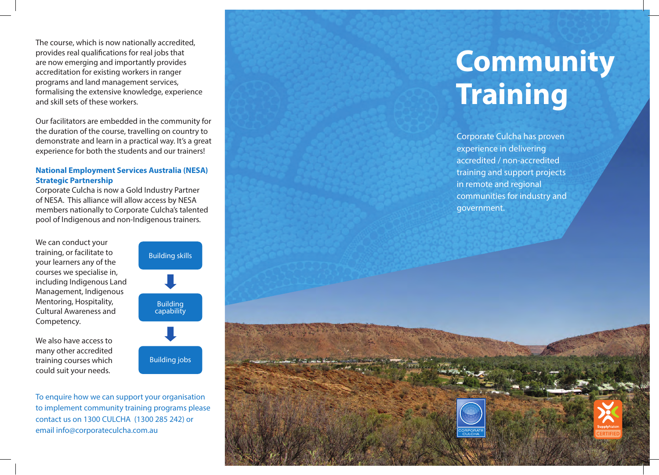The course, which is now nationally accredited, provides real qualifications for real jobs that are now emerging and importantly provides accreditation for existing workers in ranger programs and land management services, formalising the extensive knowledge, experience and skill sets of these workers.

Our facilitators are embedded in the community for the duration of the course, travelling on country to demonstrate and learn in a practical way. It's a great experience for both the students and our trainers!

## **National Employment Services Australia (NESA) Strategic Partnership**

Corporate Culcha is now a Gold Industry Partner of NESA. This alliance will allow access by NESA members nationally to Corporate Culcha's talented pool of Indigenous and non-Indigenous trainers.

We can conduct your training, or facilitate to your learners any of the courses we specialise in, including Indigenous Land Management, Indigenous Mentoring, Hospitality, Cultural Awareness and Competency.

We also have access to many other accredited training courses which could suit your needs.



To enquire how we can support your organisation to implement community training programs please contact us on 1300 CULCHA (1300 285 242) or email info@corporateculcha.com.au

## **Community Training**

Corporate Culcha has proven experience in delivering accredited / non-accredited training and support projects in remote and regional communities for industry and government.